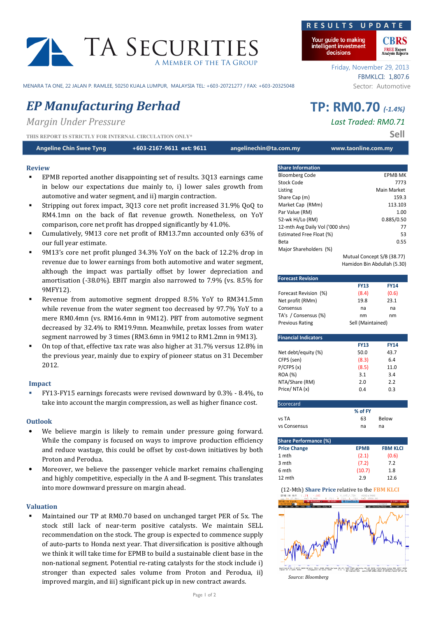# TA SECURITIES A Member of the TA Group

MENARA TA ONE, 22 JALAN P. RAMLEE, 50250 KUALA LUMPUR, MALAYSIA TEL: +603-20721277 / FAX: +603-20325048 Sector: Automotive

# EP Manufacturing Berhad TP: RM0.70 (-1.4%)

Margin Under Pressure **Last Traded: RM0.71** 

THIS REPORT IS STRICTLY FOR INTERNAL CIRCULATION ONLY\*

Angeline Chin Swee Tyng **https://edite.org/2014.** https://edite.org/2011 angelinechin@ta.com.my www.taonline.com.my

# Review

- EPMB reported another disappointing set of results. 3Q13 earnings came in below our expectations due mainly to, i) lower sales growth from automotive and water segment, and ii) margin contraction.
- Stripping out forex impact, 3Q13 core net profit increased 31.9% QoQ to RM4.1mn on the back of flat revenue growth. Nonetheless, on YoY comparison, core net profit has dropped significantly by 41.0%.
- Cumulatively, 9M13 core net profit of RM13.7mn accounted only 63% of our full year estimate.
- 9M13's core net profit plunged 34.3% YoY on the back of 12.2% drop in revenue due to lower earnings from both automotive and water segment, although the impact was partially offset by lower depreciation and amortisation (-38.0%). EBIT margin also narrowed to 7.9% (vs. 8.5% for 9MFY12).
- Revenue from automotive segment dropped 8.5% YoY to RM341.5mn while revenue from the water segment too decreased by 97.7% YoY to a mere RM0.4mn (vs. RM16.4mn in 9M12). PBT from automotive segment decreased by 32.4% to RM19.9mn. Meanwhile, pretax losses from water segment narrowed by 3 times (RM3.6mn in 9M12 to RM1.2mn in 9M13).
- On top of that, effective tax rate was also higher at 31.7% versus 12.8% in the previous year, mainly due to expiry of pioneer status on 31 December 2012.

## Impact

 FY13-FY15 earnings forecasts were revised downward by 0.3% - 8.4%, to take into account the margin compression, as well as higher finance cost.

## **Outlook**

- We believe margin is likely to remain under pressure going forward. While the company is focused on ways to improve production efficiency and reduce wastage, this could be offset by cost-down initiatives by both Proton and Perodua.
- Moreover, we believe the passenger vehicle market remains challenging and highly competitive, especially in the A and B-segment. This translates into more downward pressure on margin ahead.

# Valuation

 Maintained our TP at RM0.70 based on unchanged target PER of 5x. The stock still lack of near-term positive catalysts. We maintain SELL recommendation on the stock. The group is expected to commence supply of auto-parts to Honda next year. That diversification is positive although we think it will take time for EPMB to build a sustainable client base in the non-national segment. Potential re-rating catalysts for the stock include i) stronger than expected sales volume from Proton and Perodua, ii) improved margin, and iii) significant pick up in new contract awards.

# RESULTS UPDA

Your guide to making intelligent investment decisions

> Friday, November 29, 2013 FBMKLCI: 1,807.6

**FREE Expert**<br>Analysis Reports

| <b>Share Information</b>         |                            |
|----------------------------------|----------------------------|
| <b>Bloomberg Code</b>            | <b>EPMB MK</b>             |
| Stock Code                       | 7773                       |
| Listing                          | Main Market                |
| Share Cap (m)                    | 159.3                      |
| Market Cap (RMm)                 | 113.103                    |
| Par Value (RM)                   | 1.00                       |
| 52-wk Hi/Lo (RM)                 | 0.885/0.50                 |
| 12-mth Avg Daily Vol ('000 shrs) | 77                         |
| Estimated Free Float (%)         | 53                         |
| Beta                             | 0.55                       |
| Major Shareholders (%)           |                            |
|                                  | Mutual Concept S/B (38.77) |

Hamidon Bin Abdullah (5.30)

| <b>Forecast Revision</b>     |                   |                 |  |  |
|------------------------------|-------------------|-----------------|--|--|
|                              | <b>FY13</b>       | <b>FY14</b>     |  |  |
| Forecast Revision (%)        | (8.4)             | (0.6)           |  |  |
| Net profit (RMm)             | 19.8              | 23.1            |  |  |
| Consensus                    | na                | na              |  |  |
| TA's / Consensus (%)         | nm                | nm              |  |  |
| <b>Previous Rating</b>       | Sell (Maintained) |                 |  |  |
|                              |                   |                 |  |  |
| <b>Financial Indicators</b>  |                   |                 |  |  |
|                              | <b>FY13</b>       | <b>FY14</b>     |  |  |
| Net debt/equity (%)          | 50.0              | 43.7            |  |  |
| CFPS (sen)                   | (8.3)             | 6.4             |  |  |
| P/CFPS(x)                    | (8.5)             | 11.0            |  |  |
| ROA (%)                      | 3.1               | 3.4             |  |  |
| NTA/Share (RM)               | 2.0               | 2.2             |  |  |
| Price/NTA(x)                 | 0.4               | 0.3             |  |  |
|                              |                   |                 |  |  |
| Scorecard                    |                   |                 |  |  |
|                              | % of FY           |                 |  |  |
| vs TA                        | 63                | Below           |  |  |
| vs Consensus                 | na                | na              |  |  |
|                              |                   |                 |  |  |
| <b>Share Performance (%)</b> |                   |                 |  |  |
| <b>Price Change</b>          | <b>EPMB</b>       | <b>FBM KLCI</b> |  |  |
| 1 mth                        | (2.1)             | (0.6)           |  |  |
| 3 mth                        | (7.2)             | 7.2             |  |  |
| 6 mth                        | (10.7)            | 1.8             |  |  |

# 12 mth 2.9 2.9 12.6 (12-Mth) Share Price relative to the FBM KLCI